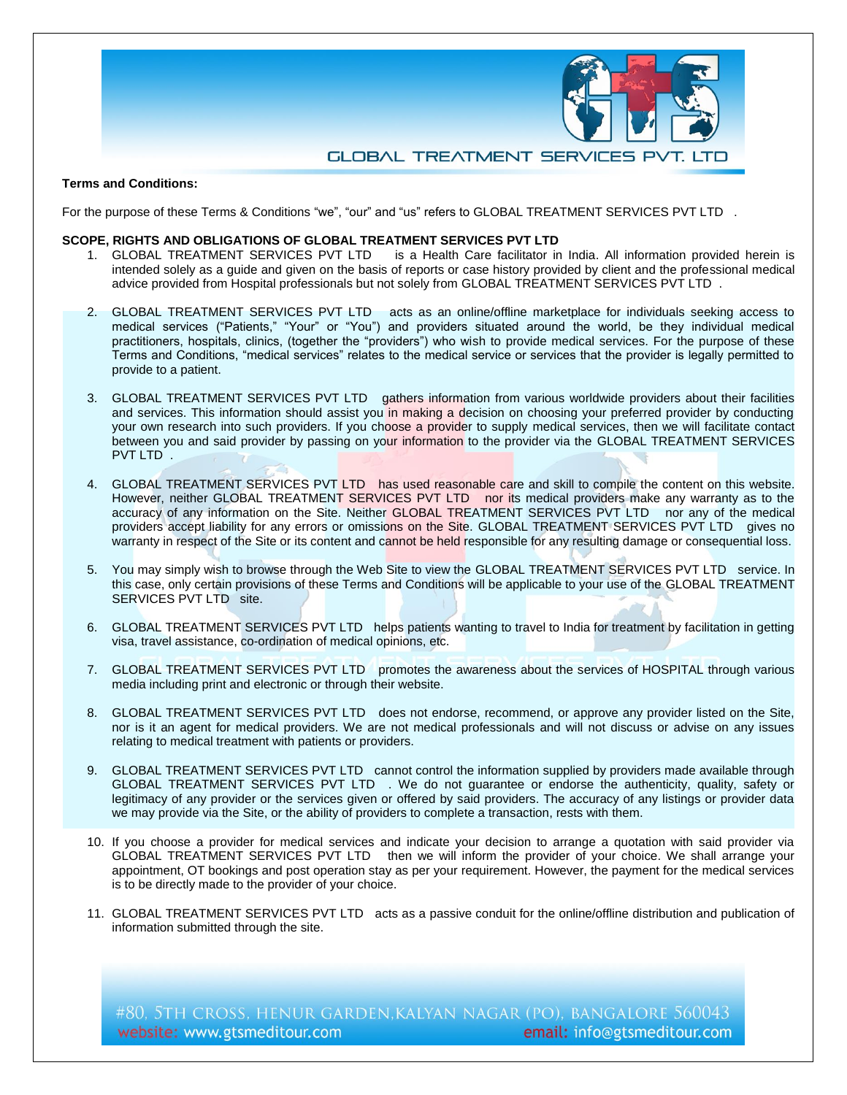

# **Terms and Conditions:**

For the purpose of these Terms & Conditions "we", "our" and "us" refers to GLOBAL TREATMENT SERVICES PVT LTD.

#### **SCOPE, RIGHTS AND OBLIGATIONS OF GLOBAL TREATMENT SERVICES PVT LTD**

- 1. GLOBAL TREATMENT SERVICES PVT LTD is a Health Care facilitator in India. All information provided herein is intended solely as a guide and given on the basis of reports or case history provided by client and the professional medical advice provided from Hospital professionals but not solely from GLOBAL TREATMENT SERVICES PVT LTD .
- 2. GLOBAL TREATMENT SERVICES PVT LTD acts as an online/offline marketplace for individuals seeking access to medical services ("Patients," "Your" or "You") and providers situated around the world, be they individual medical practitioners, hospitals, clinics, (together the "providers") who wish to provide medical services. For the purpose of these Terms and Conditions, "medical services" relates to the medical service or services that the provider is legally permitted to provide to a patient.
- 3. GLOBAL TREATMENT SERVICES PVT LTD gathers information from various worldwide providers about their facilities and services. This information should assist you in making a decision on choosing your preferred provider by conducting your own research into such providers. If you choose a provider to supply medical services, then we will facilitate contact between you and said provider by passing on your information to the provider via the GLOBAL TREATMENT SERVICES PVT LTD.
- 4. GLOBAL TREATMENT SERVICES PVT LTD has used reasonable care and skill to compile the content on this website. However, neither GLOBAL TREATMENT SERVICES PVT LTD nor its medical providers make any warranty as to the accuracy of any information on the Site. Neither GLOBAL TREATMENT SERVICES PVT LTD nor any of the medical providers accept liability for any errors or omissions on the Site. GLOBAL TREATMENT SERVICES PVT LTD gives no warranty in respect of the Site or its content and cannot be held responsible for any resulting damage or consequential loss.
- 5. You may simply wish to browse through the Web Site to view the GLOBAL TREATMENT SERVICES PVT LTD service. In this case, only certain provisions of these Terms and Conditions will be applicable to your use of the GLOBAL TREATMENT SERVICES PVT LTD site.
- 6. GLOBAL TREATMENT SERVICES PVT LTD helps patients wanting to travel to India for treatment by facilitation in getting visa, travel assistance, co-ordination of medical opinions, etc.
- 7. GLOBAL TREATMENT SERVICES PVT LTD promotes the awareness about the services of HOSPITAL through various media including print and electronic or through their website.
- 8. GLOBAL TREATMENT SERVICES PVT LTD does not endorse, recommend, or approve any provider listed on the Site, nor is it an agent for medical providers. We are not medical professionals and will not discuss or advise on any issues relating to medical treatment with patients or providers.
- 9. GLOBAL TREATMENT SERVICES PVT LTD cannot control the information supplied by providers made available through GLOBAL TREATMENT SERVICES PVT LTD . We do not guarantee or endorse the authenticity, quality, safety or legitimacy of any provider or the services given or offered by said providers. The accuracy of any listings or provider data we may provide via the Site, or the ability of providers to complete a transaction, rests with them.
- 10. If you choose a provider for medical services and indicate your decision to arrange a quotation with said provider via GLOBAL TREATMENT SERVICES PVT LTD then we will inform the provider of your choice. We shall arrange your appointment, OT bookings and post operation stay as per your requirement. However, the payment for the medical services is to be directly made to the provider of your choice.
- 11. GLOBAL TREATMENT SERVICES PVT LTD acts as a passive conduit for the online/offline distribution and publication of information submitted through the site.

#80, 5TH CROSS, HENUR GARDEN, KALYAN NAGAR (PO), BANGALORE 560043 website: www.gtsmeditour.com email: info@gtsmeditour.com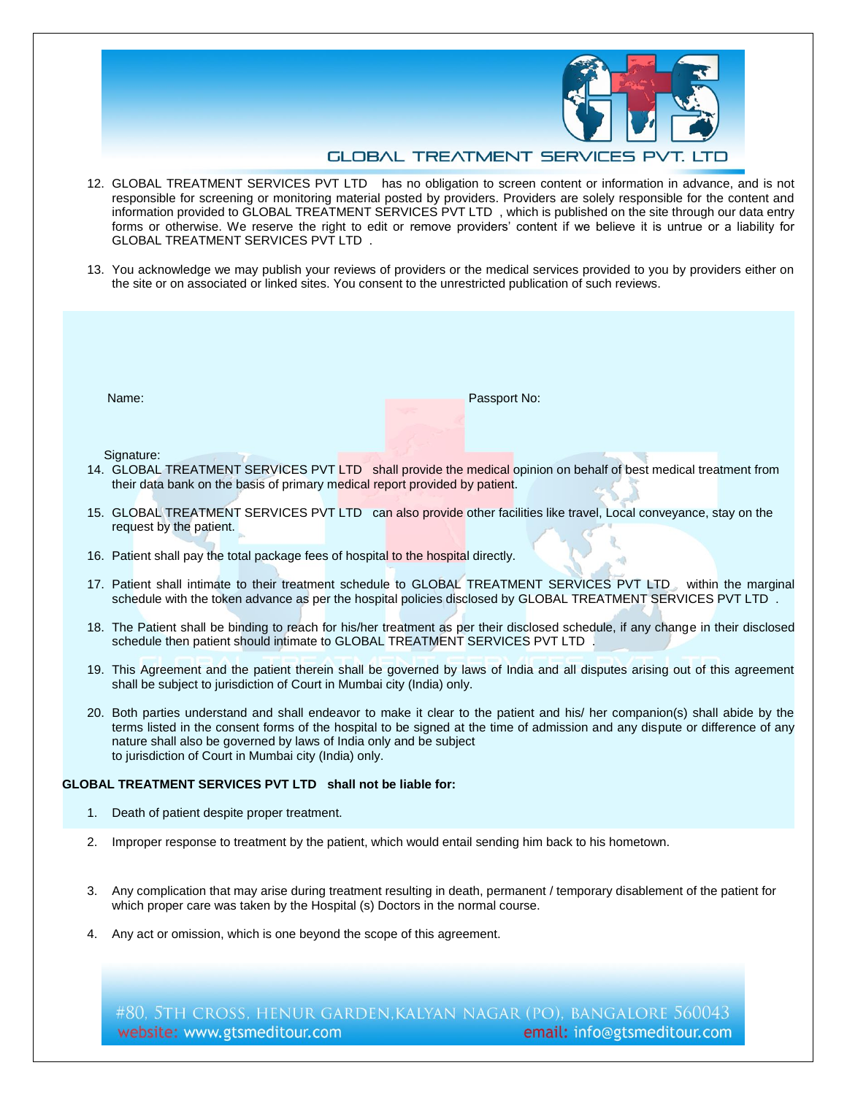

## **GLOBAL TREATMENT SERVICES PV**

- 12. GLOBAL TREATMENT SERVICES PVT LTD has no obligation to screen content or information in advance, and is not responsible for screening or monitoring material posted by providers. Providers are solely responsible for the content and information provided to GLOBAL TREATMENT SERVICES PVT LTD , which is published on the site through our data entry forms or otherwise. We reserve the right to edit or remove providers' content if we believe it is untrue or a liability for GLOBAL TREATMENT SERVICES PVT LTD .
- 13. You acknowledge we may publish your reviews of providers or the medical services provided to you by providers either on the site or on associated or linked sites. You consent to the unrestricted publication of such reviews.

Name: Passport No:

Signature:

- 14. GLOBAL TREATMENT SERVICES PVT LTD shall provide the medical opinion on behalf of best medical treatment from their data bank on the basis of primary medical report provided by patient.
- 15. GLOBAL TREATMENT SERVICES PVT LTD can also provide other facilities like travel, Local conveyance, stay on the request by the patient.
- 16. Patient shall pay the total package fees of hospital to the hospital directly.
- 17. Patient shall intimate to their treatment schedule to GLOBAL TREATMENT SERVICES PVT LTD within the marginal schedule with the token advance as per the hospital policies disclosed by GLOBAL TREATMENT SERVICES PVT LTD .
- 18. The Patient shall be binding to reach for his/her treatment as per their disclosed schedule, if any change in their disclosed schedule then patient should intimate to GLOBAL TREATMENT SERVICES PVT LTD
- 19. This Agreement and the patient therein shall be governed by laws of India and all disputes arising out of this agreement shall be subject to jurisdiction of Court in Mumbai city (India) only.
- 20. Both parties understand and shall endeavor to make it clear to the patient and his/ her companion(s) shall abide by the terms listed in the consent forms of the hospital to be signed at the time of admission and any dispute or difference of any nature shall also be governed by laws of India only and be subject to jurisdiction of Court in Mumbai city (India) only.

### **GLOBAL TREATMENT SERVICES PVT LTD shall not be liable for:**

- 1. Death of patient despite proper treatment.
- 2. Improper response to treatment by the patient, which would entail sending him back to his hometown.
- 3. Any complication that may arise during treatment resulting in death, permanent / temporary disablement of the patient for which proper care was taken by the Hospital (s) Doctors in the normal course.
- 4. Any act or omission, which is one beyond the scope of this agreement.

#80, 5TH CROSS, HENUR GARDEN, KALYAN NAGAR (PO), BANGALORE 560043 website: www.gtsmeditour.com email: info@gtsmeditour.com